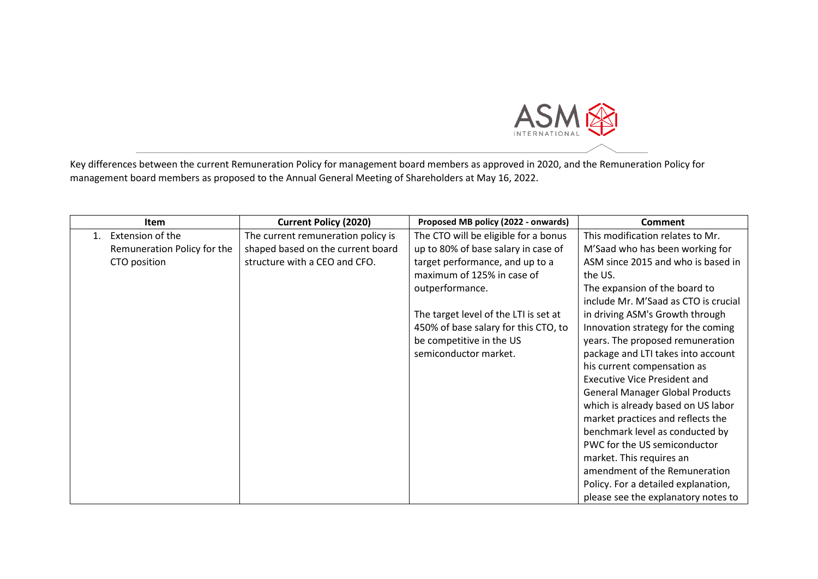

Key differences between the current Remuneration Policy for management board members as approved in 2020, and the Remuneration Policy for management board members as proposed to the Annual General Meeting of Shareholders at May 16, 2022.

|         | <b>Item</b>                 | <b>Current Policy (2020)</b>       | Proposed MB policy (2022 - onwards)   | Comment                                |
|---------|-----------------------------|------------------------------------|---------------------------------------|----------------------------------------|
| $1_{-}$ | Extension of the            | The current remuneration policy is | The CTO will be eligible for a bonus  | This modification relates to Mr.       |
|         | Remuneration Policy for the | shaped based on the current board  | up to 80% of base salary in case of   | M'Saad who has been working for        |
|         | CTO position                | structure with a CEO and CFO.      | target performance, and up to a       | ASM since 2015 and who is based in     |
|         |                             |                                    | maximum of 125% in case of            | the US.                                |
|         |                             |                                    | outperformance.                       | The expansion of the board to          |
|         |                             |                                    |                                       | include Mr. M'Saad as CTO is crucial   |
|         |                             |                                    | The target level of the LTI is set at | in driving ASM's Growth through        |
|         |                             |                                    | 450% of base salary for this CTO, to  | Innovation strategy for the coming     |
|         |                             |                                    | be competitive in the US              | years. The proposed remuneration       |
|         |                             |                                    | semiconductor market.                 | package and LTI takes into account     |
|         |                             |                                    |                                       | his current compensation as            |
|         |                             |                                    |                                       | <b>Executive Vice President and</b>    |
|         |                             |                                    |                                       | <b>General Manager Global Products</b> |
|         |                             |                                    |                                       | which is already based on US labor     |
|         |                             |                                    |                                       | market practices and reflects the      |
|         |                             |                                    |                                       | benchmark level as conducted by        |
|         |                             |                                    |                                       | PWC for the US semiconductor           |
|         |                             |                                    |                                       | market. This requires an               |
|         |                             |                                    |                                       | amendment of the Remuneration          |
|         |                             |                                    |                                       | Policy. For a detailed explanation,    |
|         |                             |                                    |                                       | please see the explanatory notes to    |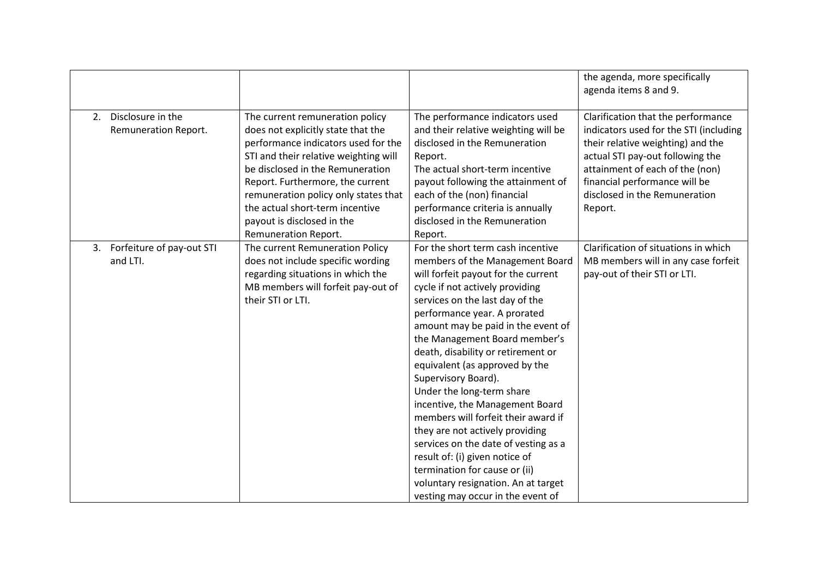|                              |                                       |                                      | the agenda, more specifically<br>agenda items 8 and 9. |
|------------------------------|---------------------------------------|--------------------------------------|--------------------------------------------------------|
| Disclosure in the<br>2.      | The current remuneration policy       | The performance indicators used      | Clarification that the performance                     |
| Remuneration Report.         | does not explicitly state that the    | and their relative weighting will be | indicators used for the STI (including                 |
|                              | performance indicators used for the   | disclosed in the Remuneration        | their relative weighting) and the                      |
|                              | STI and their relative weighting will | Report.                              | actual STI pay-out following the                       |
|                              | be disclosed in the Remuneration      | The actual short-term incentive      | attainment of each of the (non)                        |
|                              | Report. Furthermore, the current      | payout following the attainment of   | financial performance will be                          |
|                              | remuneration policy only states that  | each of the (non) financial          | disclosed in the Remuneration                          |
|                              | the actual short-term incentive       | performance criteria is annually     | Report.                                                |
|                              | payout is disclosed in the            | disclosed in the Remuneration        |                                                        |
|                              | Remuneration Report.                  | Report.                              |                                                        |
| 3. Forfeiture of pay-out STI | The current Remuneration Policy       | For the short term cash incentive    | Clarification of situations in which                   |
| and LTI.                     | does not include specific wording     | members of the Management Board      | MB members will in any case forfeit                    |
|                              | regarding situations in which the     | will forfeit payout for the current  | pay-out of their STI or LTI.                           |
|                              | MB members will forfeit pay-out of    | cycle if not actively providing      |                                                        |
|                              | their STI or LTI.                     | services on the last day of the      |                                                        |
|                              |                                       | performance year. A prorated         |                                                        |
|                              |                                       | amount may be paid in the event of   |                                                        |
|                              |                                       | the Management Board member's        |                                                        |
|                              |                                       | death, disability or retirement or   |                                                        |
|                              |                                       | equivalent (as approved by the       |                                                        |
|                              |                                       | Supervisory Board).                  |                                                        |
|                              |                                       | Under the long-term share            |                                                        |
|                              |                                       | incentive, the Management Board      |                                                        |
|                              |                                       | members will forfeit their award if  |                                                        |
|                              |                                       | they are not actively providing      |                                                        |
|                              |                                       | services on the date of vesting as a |                                                        |
|                              |                                       | result of: (i) given notice of       |                                                        |
|                              |                                       | termination for cause or (ii)        |                                                        |
|                              |                                       | voluntary resignation. An at target  |                                                        |
|                              |                                       | vesting may occur in the event of    |                                                        |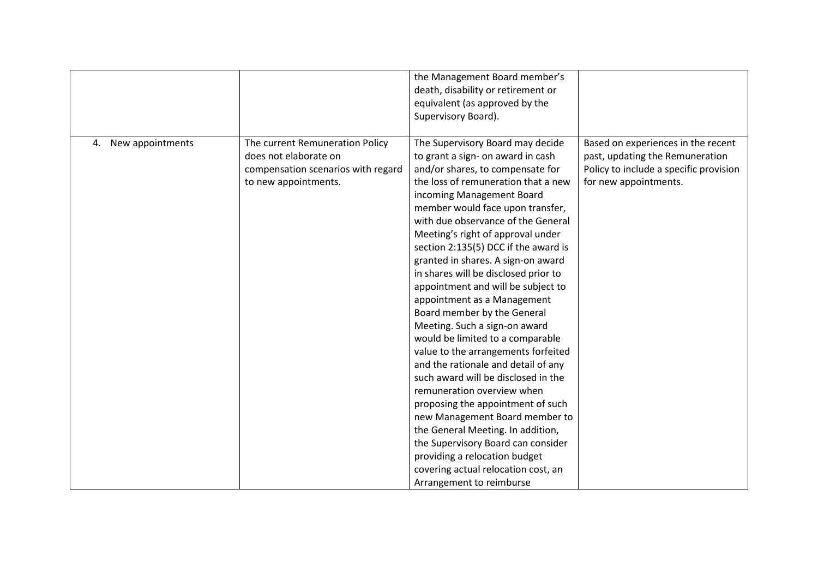|                     |                                                                                                                        | the Management Board member's<br>death, disability or retirement or<br>equivalent (as approved by the<br>Supervisory Board).                                                                                                                                                                                                                                                                                                                                                                                                                                                                                                                                                                                                                                                                                                                                                                                                                                                                         |                                                                                                                                          |
|---------------------|------------------------------------------------------------------------------------------------------------------------|------------------------------------------------------------------------------------------------------------------------------------------------------------------------------------------------------------------------------------------------------------------------------------------------------------------------------------------------------------------------------------------------------------------------------------------------------------------------------------------------------------------------------------------------------------------------------------------------------------------------------------------------------------------------------------------------------------------------------------------------------------------------------------------------------------------------------------------------------------------------------------------------------------------------------------------------------------------------------------------------------|------------------------------------------------------------------------------------------------------------------------------------------|
| 4. New appointments | The current Remuneration Policy<br>does not elaborate on<br>compensation scenarios with regard<br>to new appointments. | The Supervisory Board may decide<br>to grant a sign- on award in cash<br>and/or shares, to compensate for<br>the loss of remuneration that a new<br>incoming Management Board<br>member would face upon transfer,<br>with due observance of the General<br>Meeting's right of approval under<br>section 2:135(5) DCC if the award is<br>granted in shares. A sign-on award<br>in shares will be disclosed prior to<br>appointment and will be subject to<br>appointment as a Management<br>Board member by the General<br>Meeting. Such a sign-on award<br>would be limited to a comparable<br>value to the arrangements forfeited<br>and the rationale and detail of any<br>such award will be disclosed in the<br>remuneration overview when<br>proposing the appointment of such<br>new Management Board member to<br>the General Meeting. In addition,<br>the Supervisory Board can consider<br>providing a relocation budget<br>covering actual relocation cost, an<br>Arrangement to reimburse | Based on experiences in the recent<br>past, updating the Remuneration<br>Policy to include a specific provision<br>for new appointments. |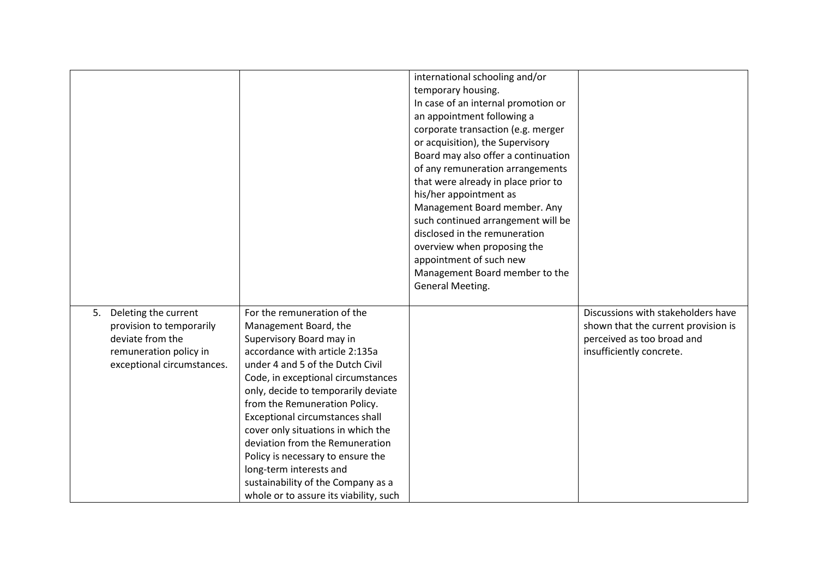|                                                                                                                                    |                                                                                                                                                                                                                                                                                                                                                                                                                                                                                                                                  | international schooling and/or<br>temporary housing.<br>In case of an internal promotion or<br>an appointment following a<br>corporate transaction (e.g. merger<br>or acquisition), the Supervisory<br>Board may also offer a continuation<br>of any remuneration arrangements<br>that were already in place prior to<br>his/her appointment as<br>Management Board member. Any<br>such continued arrangement will be<br>disclosed in the remuneration<br>overview when proposing the<br>appointment of such new<br>Management Board member to the<br>General Meeting. |                                                                                                                                     |
|------------------------------------------------------------------------------------------------------------------------------------|----------------------------------------------------------------------------------------------------------------------------------------------------------------------------------------------------------------------------------------------------------------------------------------------------------------------------------------------------------------------------------------------------------------------------------------------------------------------------------------------------------------------------------|------------------------------------------------------------------------------------------------------------------------------------------------------------------------------------------------------------------------------------------------------------------------------------------------------------------------------------------------------------------------------------------------------------------------------------------------------------------------------------------------------------------------------------------------------------------------|-------------------------------------------------------------------------------------------------------------------------------------|
| Deleting the current<br>5.<br>provision to temporarily<br>deviate from the<br>remuneration policy in<br>exceptional circumstances. | For the remuneration of the<br>Management Board, the<br>Supervisory Board may in<br>accordance with article 2:135a<br>under 4 and 5 of the Dutch Civil<br>Code, in exceptional circumstances<br>only, decide to temporarily deviate<br>from the Remuneration Policy.<br>Exceptional circumstances shall<br>cover only situations in which the<br>deviation from the Remuneration<br>Policy is necessary to ensure the<br>long-term interests and<br>sustainability of the Company as a<br>whole or to assure its viability, such |                                                                                                                                                                                                                                                                                                                                                                                                                                                                                                                                                                        | Discussions with stakeholders have<br>shown that the current provision is<br>perceived as too broad and<br>insufficiently concrete. |